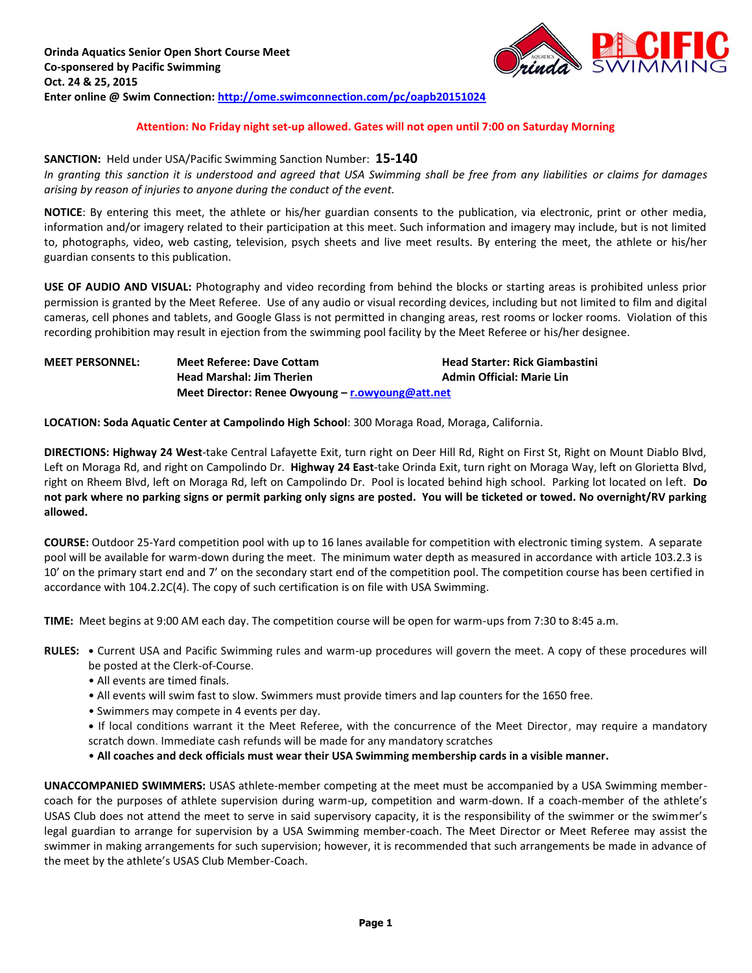

### **Attention: No Friday night set-up allowed. Gates will not open until 7:00 on Saturday Morning**

#### **SANCTION:** Held under USA/Pacific Swimming Sanction Number: **15-140**

*In granting this sanction it is understood and agreed that USA Swimming shall be free from any liabilities or claims for damages arising by reason of injuries to anyone during the conduct of the event.*

**NOTICE**: By entering this meet, the athlete or his/her guardian consents to the publication, via electronic, print or other media, information and/or imagery related to their participation at this meet. Such information and imagery may include, but is not limited to, photographs, video, web casting, television, psych sheets and live meet results. By entering the meet, the athlete or his/her guardian consents to this publication.

**USE OF AUDIO AND VISUAL:** Photography and video recording from behind the blocks or starting areas is prohibited unless prior permission is granted by the Meet Referee. Use of any audio or visual recording devices, including but not limited to film and digital cameras, cell phones and tablets, and Google Glass is not permitted in changing areas, rest rooms or locker rooms. Violation of this recording prohibition may result in ejection from the swimming pool facility by the Meet Referee or his/her designee.

## **MEET PERSONNEL: Meet Referee: Dave Cottam Head Starter: Rick Giambastini Head Marshal: Jim Therien Admin Official: Marie Lin Meet Director: Renee Owyoung – [r.owyoung@att.net](mailto:r.owyoung@att.net)**

**LOCATION: Soda Aquatic Center at Campolindo High School**: 300 Moraga Road, Moraga, California.

**DIRECTIONS: Highway 24 West**-take Central Lafayette Exit, turn right on Deer Hill Rd, Right on First St, Right on Mount Diablo Blvd, Left on Moraga Rd, and right on Campolindo Dr. **Highway 24 East**-take Orinda Exit, turn right on Moraga Way, left on Glorietta Blvd, right on Rheem Blvd, left on Moraga Rd, left on Campolindo Dr. Pool is located behind high school. Parking lot located on left. **Do not park where no parking signs or permit parking only signs are posted. You will be ticketed or towed. No overnight/RV parking allowed.**

**COURSE:** Outdoor 25-Yard competition pool with up to 16 lanes available for competition with electronic timing system. A separate pool will be available for warm-down during the meet. The minimum water depth as measured in accordance with article 103.2.3 is 10' on the primary start end and 7' on the secondary start end of the competition pool. The competition course has been certified in accordance with 104.2.2C(4). The copy of such certification is on file with USA Swimming.

**TIME:** Meet begins at 9:00 AM each day. The competition course will be open for warm-ups from 7:30 to 8:45 a.m.

**RULES: •** Current USA and Pacific Swimming rules and warm-up procedures will govern the meet. A copy of these procedures will

- be posted at the Clerk-of-Course.
- All events are timed finals.
- All events will swim fast to slow. Swimmers must provide timers and lap counters for the 1650 free.
- Swimmers may compete in 4 events per day.
- **•** If local conditions warrant it the Meet Referee, with the concurrence of the Meet Director, may require a mandatory scratch down. Immediate cash refunds will be made for any mandatory scratches
- **All coaches and deck officials must wear their USA Swimming membership cards in a visible manner.**

**UNACCOMPANIED SWIMMERS:** USAS athlete-member competing at the meet must be accompanied by a USA Swimming membercoach for the purposes of athlete supervision during warm-up, competition and warm-down. If a coach-member of the athlete's USAS Club does not attend the meet to serve in said supervisory capacity, it is the responsibility of the swimmer or the swimmer's legal guardian to arrange for supervision by a USA Swimming member-coach. The Meet Director or Meet Referee may assist the swimmer in making arrangements for such supervision; however, it is recommended that such arrangements be made in advance of the meet by the athlete's USAS Club Member-Coach.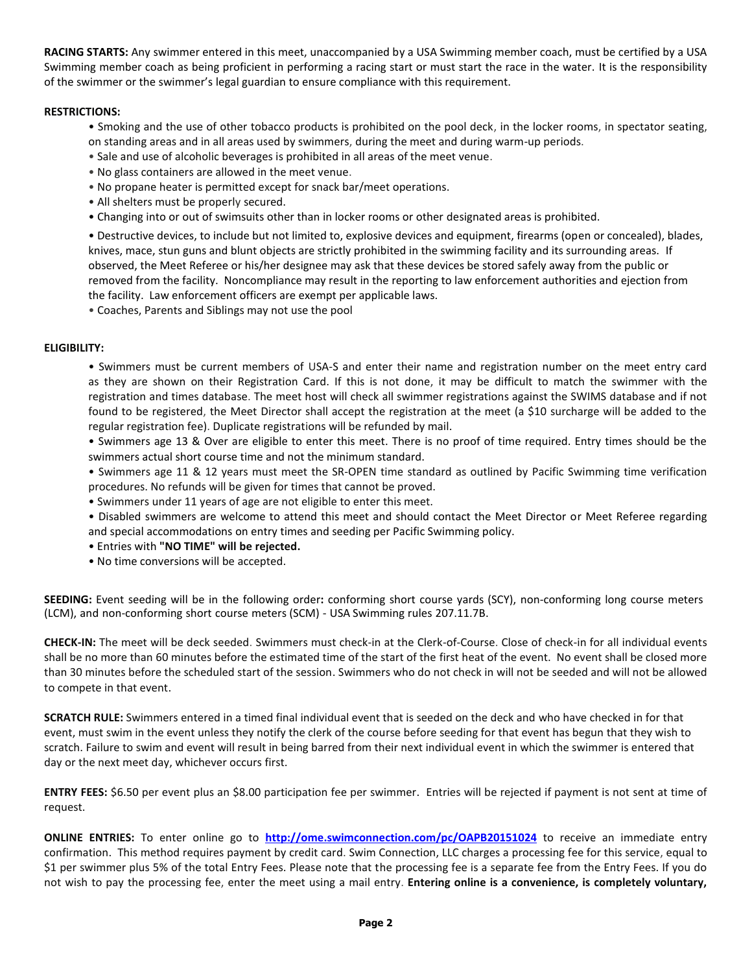**RACING STARTS:** Any swimmer entered in this meet, unaccompanied by a USA Swimming member coach, must be certified by a USA Swimming member coach as being proficient in performing a racing start or must start the race in the water. It is the responsibility of the swimmer or the swimmer's legal guardian to ensure compliance with this requirement.

### **RESTRICTIONS:**

- Smoking and the use of other tobacco products is prohibited on the pool deck, in the locker rooms, in spectator seating, on standing areas and in all areas used by swimmers, during the meet and during warm-up periods.
- Sale and use of alcoholic beverages is prohibited in all areas of the meet venue.
- No glass containers are allowed in the meet venue.
- No propane heater is permitted except for snack bar/meet operations.
- All shelters must be properly secured.
- Changing into or out of swimsuits other than in locker rooms or other designated areas is prohibited.

• Destructive devices, to include but not limited to, explosive devices and equipment, firearms (open or concealed), blades, knives, mace, stun guns and blunt objects are strictly prohibited in the swimming facility and its surrounding areas. If observed, the Meet Referee or his/her designee may ask that these devices be stored safely away from the public or removed from the facility. Noncompliance may result in the reporting to law enforcement authorities and ejection from the facility. Law enforcement officers are exempt per applicable laws.

• Coaches, Parents and Siblings may not use the pool

### **ELIGIBILITY:**

• Swimmers must be current members of USA-S and enter their name and registration number on the meet entry card as they are shown on their Registration Card. If this is not done, it may be difficult to match the swimmer with the registration and times database. The meet host will check all swimmer registrations against the SWIMS database and if not found to be registered, the Meet Director shall accept the registration at the meet (a \$10 surcharge will be added to the regular registration fee). Duplicate registrations will be refunded by mail.

• Swimmers age 13 & Over are eligible to enter this meet. There is no proof of time required. Entry times should be the swimmers actual short course time and not the minimum standard.

• Swimmers age 11 & 12 years must meet the SR-OPEN time standard as outlined by Pacific Swimming time verification procedures. No refunds will be given for times that cannot be proved.

- Swimmers under 11 years of age are not eligible to enter this meet.
- Disabled swimmers are welcome to attend this meet and should contact the Meet Director or Meet Referee regarding and special accommodations on entry times and seeding per Pacific Swimming policy.
- Entries with **"NO TIME" will be rejected.**
- No time conversions will be accepted.

**SEEDING:** Event seeding will be in the following order**:** conforming short course yards (SCY), non-conforming long course meters (LCM), and non-conforming short course meters (SCM) - USA Swimming rules 207.11.7B.

**CHECK-IN:** The meet will be deck seeded. Swimmers must check-in at the Clerk-of-Course. Close of check-in for all individual events shall be no more than 60 minutes before the estimated time of the start of the first heat of the event. No event shall be closed more than 30 minutes before the scheduled start of the session. Swimmers who do not check in will not be seeded and will not be allowed to compete in that event.

**SCRATCH RULE:** Swimmers entered in a timed final individual event that is seeded on the deck and who have checked in for that event, must swim in the event unless they notify the clerk of the course before seeding for that event has begun that they wish to scratch. Failure to swim and event will result in being barred from their next individual event in which the swimmer is entered that day or the next meet day, whichever occurs first.

**ENTRY FEES:** \$6.50 per event plus an \$8.00 participation fee per swimmer. Entries will be rejected if payment is not sent at time of request.

**ONLINE ENTRIES:** To enter online go to **<http://ome.swimconnection.com/pc/OAPB20151024>** to receive an immediate entry confirmation. This method requires payment by credit card. Swim Connection, LLC charges a processing fee for this service, equal to \$1 per swimmer plus 5% of the total Entry Fees. Please note that the processing fee is a separate fee from the Entry Fees. If you do not wish to pay the processing fee, enter the meet using a mail entry. **Entering online is a convenience, is completely voluntary,**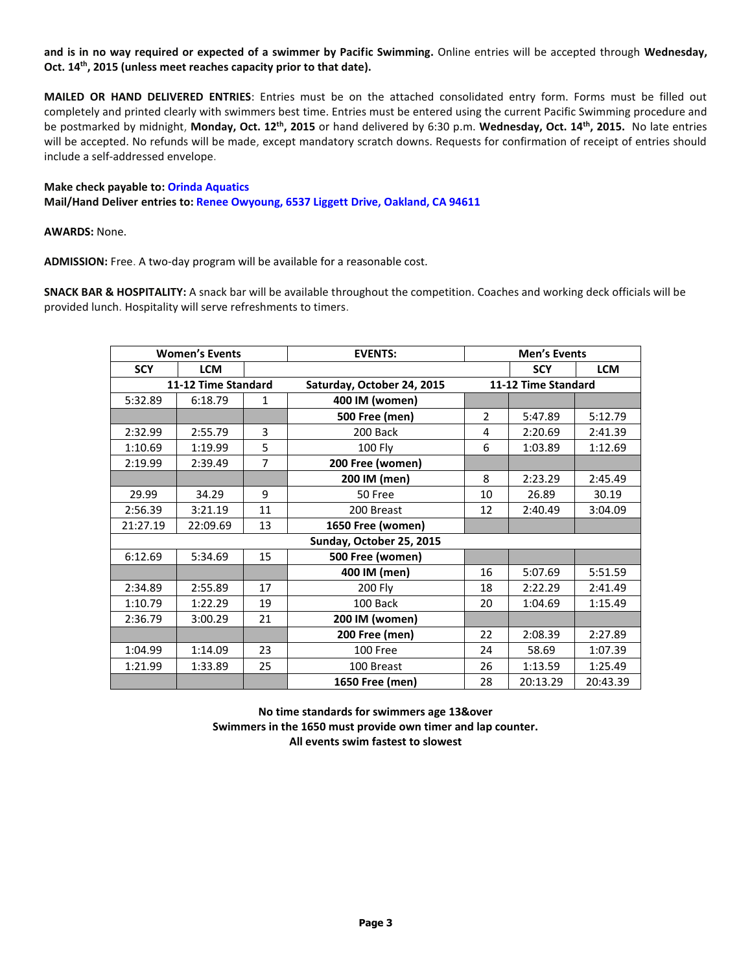**and is in no way required or expected of a swimmer by Pacific Swimming.** Online entries will be accepted through **Wednesday, Oct. 14th, 2015 (unless meet reaches capacity prior to that date).**

**MAILED OR HAND DELIVERED ENTRIES**: Entries must be on the attached consolidated entry form. Forms must be filled out completely and printed clearly with swimmers best time. Entries must be entered using the current Pacific Swimming procedure and be postmarked by midnight, Monday, Oct. 12<sup>th</sup>, 2015 or hand delivered by 6:30 p.m. Wednesday, Oct. 14<sup>th</sup>, 2015. No late entries will be accepted. No refunds will be made, except mandatory scratch downs. Requests for confirmation of receipt of entries should include a self-addressed envelope.

# **Make check payable to: Orinda Aquatics Mail/Hand Deliver entries to: Renee Owyoung, 6537 Liggett Drive, Oakland, CA 94611**

**AWARDS:** None.

**ADMISSION:** Free. A two-day program will be available for a reasonable cost.

**SNACK BAR & HOSPITALITY:** A snack bar will be available throughout the competition. Coaches and working deck officials will be provided lunch. Hospitality will serve refreshments to timers.

|                     | <b>Women's Events</b> |                | <b>EVENTS:</b>             |                | <b>Men's Events</b> |            |
|---------------------|-----------------------|----------------|----------------------------|----------------|---------------------|------------|
| <b>SCY</b>          | <b>LCM</b>            |                |                            |                | <b>SCY</b>          | <b>LCM</b> |
| 11-12 Time Standard |                       |                | Saturday, October 24, 2015 |                | 11-12 Time Standard |            |
| 5:32.89             | 6:18.79               | $\mathbf{1}$   | 400 IM (women)             |                |                     |            |
|                     |                       |                | <b>500 Free (men)</b>      | $\overline{2}$ | 5:47.89             | 5:12.79    |
| 2:32.99             | 2:55.79               | 3              | 200 Back                   | 4              | 2:20.69             | 2:41.39    |
| 1:10.69             | 1:19.99               | 5              | <b>100 Fly</b>             | 6              | 1:03.89             | 1:12.69    |
| 2:19.99             | 2:39.49               | $\overline{7}$ | 200 Free (women)           |                |                     |            |
|                     |                       |                | 200 IM (men)               | 8              | 2:23.29             | 2:45.49    |
| 29.99               | 34.29                 | 9              | 50 Free                    | 10             | 26.89               | 30.19      |
| 2:56.39             | 3:21.19               | 11             | 200 Breast                 | 12             | 2:40.49             | 3:04.09    |
| 21:27.19            | 22:09.69              | 13             | 1650 Free (women)          |                |                     |            |
|                     |                       |                |                            |                |                     |            |
| 6:12.69             | 5:34.69               | 15             | 500 Free (women)           |                |                     |            |
|                     |                       |                | 400 IM (men)               | 16             | 5:07.69             | 5:51.59    |
| 2:34.89             | 2:55.89               | 17             | 200 Fly                    | 18             | 2:22.29             | 2:41.49    |
| 1:10.79             | 1:22.29               | 19             | 100 Back                   | 20             | 1:04.69             | 1:15.49    |
| 2:36.79             | 3:00.29               | 21             | 200 IM (women)             |                |                     |            |
|                     |                       |                | <b>200 Free (men)</b>      | 22             | 2:08.39             | 2:27.89    |
| 1:04.99             | 1:14.09               | 23             | 100 Free                   | 24             | 58.69               | 1:07.39    |
| 1:21.99             | 1:33.89               | 25             | 100 Breast                 | 26             | 1:13.59             | 1:25.49    |
|                     |                       |                | 1650 Free (men)            | 28             | 20:13.29            | 20:43.39   |

**No time standards for swimmers age 13&over Swimmers in the 1650 must provide own timer and lap counter. All events swim fastest to slowest**